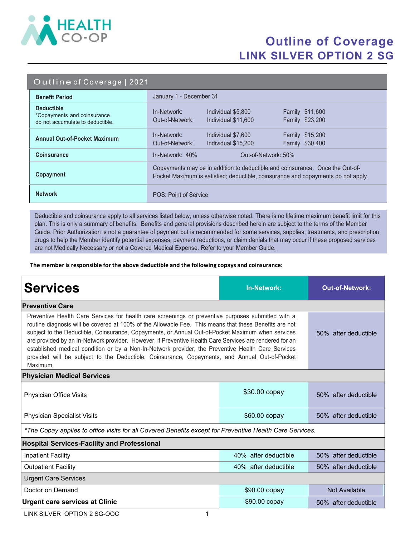

## Outline of Coverage LINK SILVER OPTION 2 SG

|  | Outline of Coverage   2021 |  |
|--|----------------------------|--|

| <b>Benefit Period</b>                                                                | January 1 - December 31                                                                                                                                            |  |  |
|--------------------------------------------------------------------------------------|--------------------------------------------------------------------------------------------------------------------------------------------------------------------|--|--|
| <b>Deductible</b><br>*Copayments and coinsurance<br>do not accumulate to deductible. | Individual \$5,800<br><b>Family \$11,600</b><br>In-Network:<br>Out-of-Network:<br>Family \$23,200<br>Individual \$11,600                                           |  |  |
| <b>Annual Out-of-Pocket Maximum</b>                                                  | <b>Family \$15,200</b><br>In-Network:<br>Individual \$7,600<br>Family \$30,400<br>Out-of-Network:<br>Individual \$15,200                                           |  |  |
| <b>Coinsurance</b>                                                                   | $In-Network: 40%$<br>Out-of-Network: 50%                                                                                                                           |  |  |
| Copayment                                                                            | Copayments may be in addition to deductible and coinsurance. Once the Out-of-<br>Pocket Maximum is satisfied; deductible, coinsurance and copayments do not apply. |  |  |
| <b>Network</b>                                                                       | POS: Point of Service                                                                                                                                              |  |  |

Deductible and coinsurance apply to all services listed below, unless otherwise noted. There is no lifetime maximum benefit limit for this plan. This is only a summary of benefits. Benefits and general provisions described herein are subject to the terms of the Member Guide. Prior Authorization is not a guarantee of payment but is recommended for some services, supplies, treatments, and prescription drugs to help the Member identify potential expenses, payment reductions, or claim denials that may occur if these proposed services are not Medically Necessary or not a Covered Medical Expense. Refer to your Member Guide.

The member is responsible for the above deductible and the following copays and coinsurance:

| <b>Services</b>                                                                                                                                                                                                                                                                                                                                                                                                                                                                                                                                                                                                                                 | <b>In-Network:</b>   | <b>Out-of-Network:</b> |  |  |  |
|-------------------------------------------------------------------------------------------------------------------------------------------------------------------------------------------------------------------------------------------------------------------------------------------------------------------------------------------------------------------------------------------------------------------------------------------------------------------------------------------------------------------------------------------------------------------------------------------------------------------------------------------------|----------------------|------------------------|--|--|--|
| <b>Preventive Care</b>                                                                                                                                                                                                                                                                                                                                                                                                                                                                                                                                                                                                                          |                      |                        |  |  |  |
| Preventive Health Care Services for health care screenings or preventive purposes submitted with a<br>routine diagnosis will be covered at 100% of the Allowable Fee. This means that these Benefits are not<br>subject to the Deductible, Coinsurance, Copayments, or Annual Out-of-Pocket Maximum when services<br>are provided by an In-Network provider. However, if Preventive Health Care Services are rendered for an<br>established medical condition or by a Non-In-Network provider, the Preventive Health Care Services<br>provided will be subject to the Deductible, Coinsurance, Copayments, and Annual Out-of-Pocket<br>Maximum. | 50% after deductible |                        |  |  |  |
| <b>Physician Medical Services</b>                                                                                                                                                                                                                                                                                                                                                                                                                                                                                                                                                                                                               |                      |                        |  |  |  |
| Physician Office Visits                                                                                                                                                                                                                                                                                                                                                                                                                                                                                                                                                                                                                         | \$30.00 copay        | 50% after deductible   |  |  |  |
| <b>Physician Specialist Visits</b>                                                                                                                                                                                                                                                                                                                                                                                                                                                                                                                                                                                                              | \$60.00 copay        | 50% after deductible   |  |  |  |
| *The Copay applies to office visits for all Covered Benefits except for Preventive Health Care Services.                                                                                                                                                                                                                                                                                                                                                                                                                                                                                                                                        |                      |                        |  |  |  |
| <b>Hospital Services-Facility and Professional</b>                                                                                                                                                                                                                                                                                                                                                                                                                                                                                                                                                                                              |                      |                        |  |  |  |
| <b>Inpatient Facility</b>                                                                                                                                                                                                                                                                                                                                                                                                                                                                                                                                                                                                                       | 40% after deductible | 50% after deductible   |  |  |  |
| <b>Outpatient Facility</b>                                                                                                                                                                                                                                                                                                                                                                                                                                                                                                                                                                                                                      | 40% after deductible | 50% after deductible   |  |  |  |
| <b>Urgent Care Services</b>                                                                                                                                                                                                                                                                                                                                                                                                                                                                                                                                                                                                                     |                      |                        |  |  |  |
| Doctor on Demand                                                                                                                                                                                                                                                                                                                                                                                                                                                                                                                                                                                                                                | \$90.00 copay        | Not Available          |  |  |  |
| <b>Urgent care services at Clinic</b>                                                                                                                                                                                                                                                                                                                                                                                                                                                                                                                                                                                                           | \$90.00 copay        | 50% after deductible   |  |  |  |

LINK SILVER OPTION 2 SG-OOC 1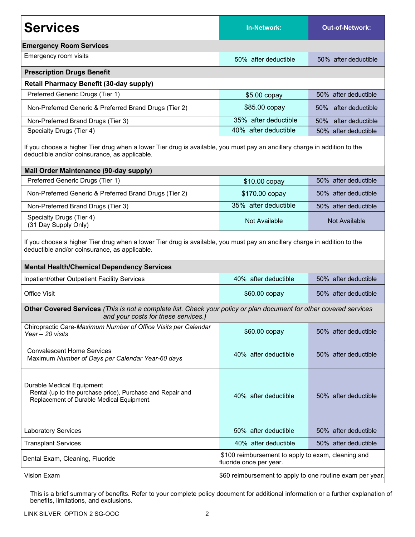| <b>Services</b>                                                                                                                                                            | <b>In-Network:</b>   | <b>Out-of-Network:</b>  |  |  |  |
|----------------------------------------------------------------------------------------------------------------------------------------------------------------------------|----------------------|-------------------------|--|--|--|
| <b>Emergency Room Services</b>                                                                                                                                             |                      |                         |  |  |  |
| Emergency room visits                                                                                                                                                      | 50% after deductible | 50% after deductible    |  |  |  |
| <b>Prescription Drugs Benefit</b>                                                                                                                                          |                      |                         |  |  |  |
| <b>Retail Pharmacy Benefit (30-day supply)</b>                                                                                                                             |                      |                         |  |  |  |
| Preferred Generic Drugs (Tier 1)                                                                                                                                           | $$5.00$ copay        | 50% after deductible    |  |  |  |
| Non-Preferred Generic & Preferred Brand Drugs (Tier 2)                                                                                                                     | \$85.00 copay        | 50%<br>after deductible |  |  |  |
| Non-Preferred Brand Drugs (Tier 3)                                                                                                                                         | 35% after deductible | after deductible<br>50% |  |  |  |
| Specialty Drugs (Tier 4)                                                                                                                                                   | 40% after deductible | 50% after deductible    |  |  |  |
| If you choose a higher Tier drug when a lower Tier drug is available, you must pay an ancillary charge in addition to the<br>deductible and/or coinsurance, as applicable. |                      |                         |  |  |  |
| Mail Order Maintenance (90-day supply)                                                                                                                                     |                      |                         |  |  |  |
| Preferred Generic Drugs (Tier 1)                                                                                                                                           | \$10.00 copay        | 50% after deductible    |  |  |  |
| Non-Preferred Generic & Preferred Brand Drugs (Tier 2)                                                                                                                     | \$170.00 copay       | 50% after deductible    |  |  |  |
| Non-Preferred Brand Drugs (Tier 3)                                                                                                                                         | 35% after deductible | 50% after deductible    |  |  |  |
| Specialty Drugs (Tier 4)<br>(31 Day Supply Only)                                                                                                                           | <b>Not Available</b> | Not Available           |  |  |  |
| If you choose a higher Tier drug when a lower Tier drug is available, you must pay an ancillary charge in addition to the<br>deductible and/or coinsurance, as applicable. |                      |                         |  |  |  |
| <b>Mental Health/Chemical Dependency Services</b>                                                                                                                          |                      |                         |  |  |  |
| Inpatient/other Outpatient Facility Services                                                                                                                               | 40% after deductible | 50% after deductible    |  |  |  |
| <b>Office Visit</b>                                                                                                                                                        | \$60.00 copay        | 50% after deductible    |  |  |  |
| Other Covered Services (This is not a complete list. Check your policy or plan document for other covered services<br>and your costs for these services.)                  |                      |                         |  |  |  |
| Chiropractic Care-Maximum Number of Office Visits per Calendar<br>Year - 20 visits                                                                                         | \$60.00 copay        | 50% after deductible    |  |  |  |
| <b>Convalescent Home Services</b><br>Maximum Number of Days per Calendar Year-60 days                                                                                      | 40% after deductible | 50% after deductible    |  |  |  |
| Durable Medical Equipment<br>Rental (up to the purchase price), Purchase and Repair and<br>Replacement of Durable Medical Equipment.                                       | 40% after deductible | 50% after deductible    |  |  |  |
| <b>Laboratory Services</b>                                                                                                                                                 | 50% after deductible | 50% after deductible    |  |  |  |
| <b>Transplant Services</b>                                                                                                                                                 | 40% after deductible | 50% after deductible    |  |  |  |
| \$100 reimbursement to apply to exam, cleaning and<br>Dental Exam, Cleaning, Fluoride<br>fluoride once per year.                                                           |                      |                         |  |  |  |
| Vision Exam<br>\$60 reimbursement to apply to one routine exam per year.                                                                                                   |                      |                         |  |  |  |

This is a brief summary of benefits. Refer to your complete policy document for additional information or a further explanation of benefits, limitations, and exclusions.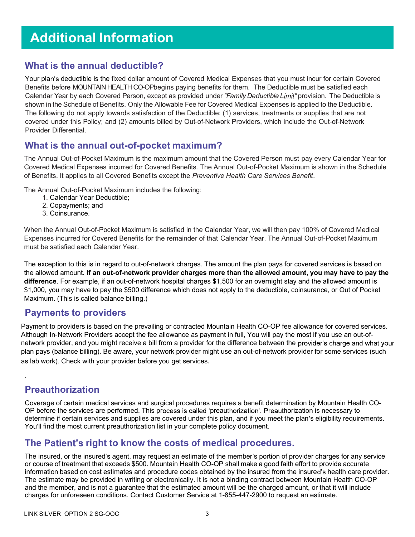# Additional Information

#### What is the annual deductible?

Your plan's deductible is the fixed dollar amount of Covered Medical Expenses that you must incur for certain Covered Benefits before MOUNTAIN HEALTH CO-OPbegins paying benefits for them. The Deductible must be satisfied each Calendar Year by each Covered Person, except as provided under "Family Deductible Limit" provision. The Deductible is shown in the Schedule of Benefits. Only the Allowable Fee for Covered Medical Expenses is applied to the Deductible. The following do not apply towards satisfaction of the Deductible: (1) services, treatments or supplies that are not covered under this Policy; and (2) amounts billed by Out-of-Network Providers, which include the Out-of-Network Provider Differential.

#### What is the annual out-of-pocket maximum?

The Annual Out-of-Pocket Maximum is the maximum amount that the Covered Person must pay every Calendar Year for Covered Medical Expenses incurred for Covered Benefits. The Annual Out-of-Pocket Maximum is shown in the Schedule of Benefits. It applies to all Covered Benefits except the Preventive Health Care Services Benefit.

The Annual Out-of-Pocket Maximum includes the following:

- 1. Calendar Year Deductible;
- 2. Copayments; and
- 3. Coinsurance.

When the Annual Out-of-Pocket Maximum is satisfied in the Calendar Year, we will then pay 100% of Covered Medical Expenses incurred for Covered Benefits for the remainder of that Calendar Year. The Annual Out-of-Pocket Maximum must be satisfied each Calendar Year.

The exception to this is in regard to out-of-network charges. The amount the plan pays for covered services is based on the allowed amount. If an out-of-network provider charges more than the allowed amount, you may have to pay the difference. For example, if an out-of-network hospital charges \$1,500 for an overnight stay and the allowed amount is \$1,000, you may have to pay the \$500 difference which does not apply to the deductible, coinsurance, or Out of Pocket Maximum. (This is called balance billing.)

#### Payments to providers

Payment to providers is based on the prevailing or contracted Mountain Health CO-OP fee allowance for covered services. Although In-Network Providers accept the fee allowance as payment in full, You will pay the most if you use an out-ofnetwork provider, and you might receive a bill from a provider for the difference between the provider's charge and what your plan pays (balance billing). Be aware, your network provider might use an out-of-network provider for some services (such as lab work). Check with your provider before you get services.

### Preauthorization

.

Coverage of certain medical services and surgical procedures requires a benefit determination by Mountain Health CO-OP before the services are performed. This process is called 'preauthorization'. Preauthorization is necessary to determine if certain services and supplies are covered under this plan, and if you meet the plan's eligibility requirements. You'll find the most current preauthorization list in your complete policy document.

### The Patient's right to know the costs of medical procedures.

The insured, or the insured's agent, may request an estimate of the member's portion of provider charges for any service or course of treatment that exceeds \$500. Mountain Health CO-OP shall make a good faith effort to provide accurate information based on cost estimates and procedure codes obtained by the insured from the insured's health care provider. The estimate may be provided in writing or electronically. It is not a binding contract between Mountain Health CO-OP and the member, and is not a guarantee that the estimated amount will be the charged amount, or that it will include charges for unforeseen conditions. Contact Customer Service at 1-855-447-2900 to request an estimate.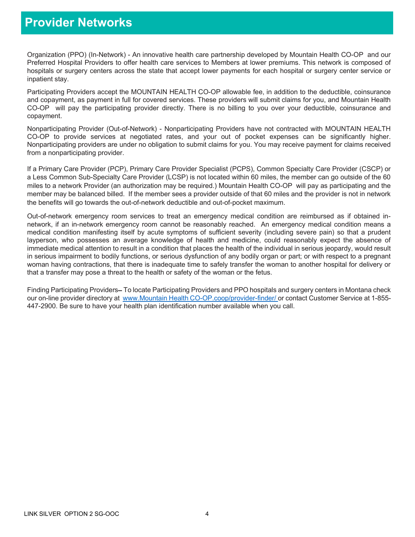### Provider Networks

Organization (PPO) (In-Network) - An innovative health care partnership developed by Mountain Health CO-OP and our Preferred Hospital Providers to offer health care services to Members at lower premiums. This network is composed of hospitals or surgery centers across the state that accept lower payments for each hospital or surgery center service or inpatient stay.

Participating Providers accept the MOUNTAIN HEALTH CO-OP allowable fee, in addition to the deductible, coinsurance and copayment, as payment in full for covered services. These providers will submit claims for you, and Mountain Health CO-OP will pay the participating provider directly. There is no billing to you over your deductible, coinsurance and copayment.

Nonparticipating Provider (Out-of-Network) - Nonparticipating Providers have not contracted with MOUNTAIN HEALTH CO-OP to provide services at negotiated rates, and your out of pocket expenses can be significantly higher. Nonparticipating providers are under no obligation to submit claims for you. You may receive payment for claims received from a nonparticipating provider.

If a Primary Care Provider (PCP), Primary Care Provider Specialist (PCPS), Common Specialty Care Provider (CSCP) or a Less Common Sub-Specialty Care Provider (LCSP) is not located within 60 miles, the member can go outside of the 60 miles to a network Provider (an authorization may be required.) Mountain Health CO-OP will pay as participating and the member may be balanced billed. If the member sees a provider outside of that 60 miles and the provider is not in network the benefits will go towards the out-of-network deductible and out-of-pocket maximum.

Out-of-network emergency room services to treat an emergency medical condition are reimbursed as if obtained innetwork, if an in-network emergency room cannot be reasonably reached. An emergency medical condition means a medical condition manifesting itself by acute symptoms of sufficient severity (including severe pain) so that a prudent layperson, who possesses an average knowledge of health and medicine, could reasonably expect the absence of immediate medical attention to result in a condition that places the health of the individual in serious jeopardy, would result in serious impairment to bodily functions, or serious dysfunction of any bodily organ or part; or with respect to a pregnant woman having contractions, that there is inadequate time to safely transfer the woman to another hospital for delivery or that a transfer may pose a threat to the health or safety of the woman or the fetus.

Finding Participating Providers–To locate Participating Providers and PPO hospitals and surgery centers in Montana check our on-line provider directory at www.Mountain Health CO-OP.coop/provider-finder/ or contact Customer Service at 1-855-447-2900. Be sure to have your health plan identification number available when you call.